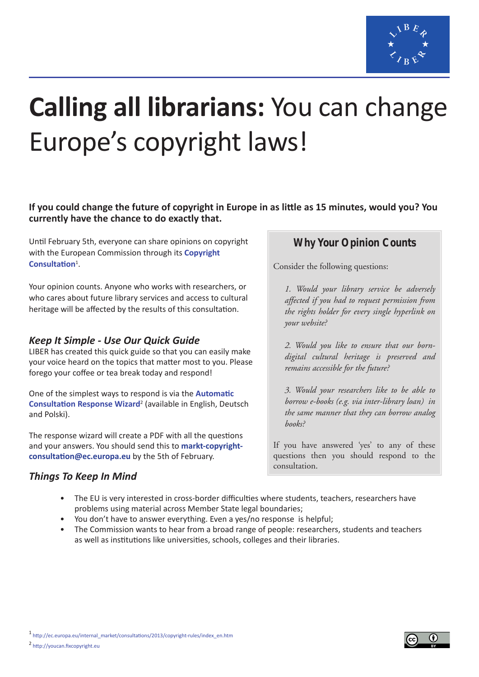

# **Calling all librarians:** You can change Europe's copyright laws!

## **If you could change the future of copyright in Europe in as little as 15 minutes, would you? You currently have the chance to do exactly that.**

Until February 5th, everyone can share opinions on copyright with the European Commission through its **[Copyright](http://ec.europa.eu/internal_market/consultations/2013/copyright-rules/index_en.htm)  [Consultation](http://ec.europa.eu/internal_market/consultations/2013/copyright-rules/index_en.htm)**<sup>1</sup> .

Your opinion counts. Anyone who works with researchers, or who cares about future library services and access to cultural heritage will be affected by the results of this consultation.

# *Keep It Simple - Use Our Quick Guide*

LIBER has created this quick guide so that you can easily make your voice heard on the topics that matter most to you. Please forego your coffee or tea break today and respond!

One of the simplest ways to respond is via the **[Automatic](http://youcan.fixcopyright.eu)  [Consultation Response Wizard](http://youcan.fixcopyright.eu)**<sup>2</sup> (available in English, Deutsch and Polski).

The response wizard will create a PDF with all the questions and your answers. You should send this to **markt-copyrightconsultation@ec.europa.eu** by the 5th of February.

# *Things To Keep In Mind*

# **Why Your Opinion Counts**

Consider the following questions:

*1. Would your library service be adversely affected if you had to request permission from the rights holder for every single hyperlink on your website?*

*2. Would you like to ensure that our borndigital cultural heritage is preserved and remains accessible for the future?*

*3. Would your researchers like to be able to borrow e-books (e.g. via inter-library loan) in the same manner that they can borrow analog books?*

If you have answered 'yes' to any of these questions then you should respond to the consultation.

- The EU is very interested in cross-border difficulties where students, teachers, researchers have problems using material across Member State legal boundaries;
- You don't have to answer everything. Even a yes/no response is helpful;
- The Commission wants to hear from a broad range of people: researchers, students and teachers as well as institutions like universities, schools, colleges and their libraries.

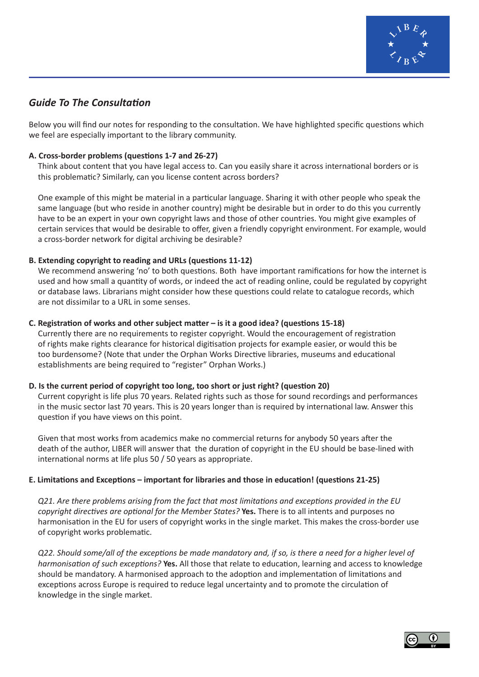

# *Guide To The Consultation*

Below you will find our notes for responding to the consultation. We have highlighted specific questions which we feel are especially important to the library community.

#### **A. Cross-border problems (questions 1-7 and 26-27)**

Think about content that you have legal access to. Can you easily share it across international borders or is this problematic? Similarly, can you license content across borders?

One example of this might be material in a particular language. Sharing it with other people who speak the same language (but who reside in another country) might be desirable but in order to do this you currently have to be an expert in your own copyright laws and those of other countries. You might give examples of certain services that would be desirable to offer, given a friendly copyright environment. For example, would a cross-border network for digital archiving be desirable?

#### **B. Extending copyright to reading and URLs (questions 11-12)**

We recommend answering 'no' to both questions. Both have important ramifications for how the internet is used and how small a quantity of words, or indeed the act of reading online, could be regulated by copyright or database laws. Librarians might consider how these questions could relate to catalogue records, which are not dissimilar to a URL in some senses.

#### **C. Registration of works and other subject matter – is it a good idea? (questions 15-18)**

Currently there are no requirements to register copyright. Would the encouragement of registration of rights make rights clearance for historical digitisation projects for example easier, or would this be too burdensome? (Note that under the Orphan Works Directive libraries, museums and educational establishments are being required to "register" Orphan Works.)

#### **D. Is the current period of copyright too long, too short or just right? (question 20)**

Current copyright is life plus 70 years. Related rights such as those for sound recordings and performances in the music sector last 70 years. This is 20 years longer than is required by international law. Answer this question if you have views on this point.

Given that most works from academics make no commercial returns for anybody 50 years after the death of the author, LIBER will answer that the duration of copyright in the EU should be base-lined with international norms at life plus 50 / 50 years as appropriate.

#### **E. Limitations and Exceptions – important for libraries and those in education! (questions 21-25)**

*Q21. Are there problems arising from the fact that most limitations and exceptions provided in the EU copyright directives are optional for the Member States?* **Yes.** There is to all intents and purposes no harmonisation in the EU for users of copyright works in the single market. This makes the cross-border use of copyright works problematic.

*Q22. Should some/all of the exceptions be made mandatory and, if so, is there a need for a higher level of harmonisation of such exceptions?* **Yes.** All those that relate to education, learning and access to knowledge should be mandatory. A harmonised approach to the adoption and implementation of limitations and exceptions across Europe is required to reduce legal uncertainty and to promote the circulation of knowledge in the single market.

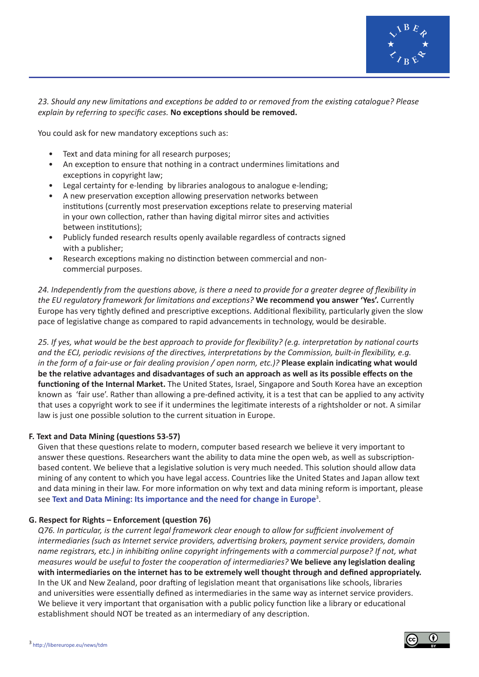

#### *23. Should any new limitations and exceptions be added to or removed from the existing catalogue? Please explain by referring to specific cases.* **No exceptions should be removed.**

You could ask for new mandatory exceptions such as:

- Text and data mining for all research purposes;
- An exception to ensure that nothing in a contract undermines limitations and exceptions in copyright law;
- Legal certainty for e-lending by libraries analogous to analogue e-lending;
- A new preservation exception allowing preservation networks between institutions (currently most preservation exceptions relate to preserving material in your own collection, rather than having digital mirror sites and activities between institutions);
- Publicly funded research results openly available regardless of contracts signed with a publisher;
- Research exceptions making no distinction between commercial and noncommercial purposes.

*24. Independently from the questions above, is there a need to provide for a greater degree of flexibility in the EU regulatory framework for limitations and exceptions?* **We recommend you answer 'Yes'.** Currently Europe has very tightly defined and prescriptive exceptions. Additional flexibility, particularly given the slow pace of legislative change as compared to rapid advancements in technology, would be desirable.

*25. If yes, what would be the best approach to provide for flexibility? (e.g. interpretation by national courts and the ECJ, periodic revisions of the directives, interpretations by the Commission, built-in flexibility, e.g. in the form of a fair-use or fair dealing provision / open norm, etc.)?* **Please explain indicating what would be the relative advantages and disadvantages of such an approach as well as its possible effects on the functioning of the Internal Market.** The United States, Israel, Singapore and South Korea have an exception known as 'fair use'. Rather than allowing a pre-defined activity, it is a test that can be applied to any activity that uses a copyright work to see if it undermines the legitimate interests of a rightsholder or not. A similar law is just one possible solution to the current situation in Europe.

#### **F. Text and Data Mining (questions 53-57)**

Given that these questions relate to modern, computer based research we believe it very important to answer these questions. Researchers want the ability to data mine the open web, as well as subscriptionbased content. We believe that a legislative solution is very much needed. This solution should allow data mining of any content to which you have legal access. Countries like the United States and Japan allow text and data mining in their law. For more information on why text and data mining reform is important, please see **[Text and Data Mining: Its importance and the need for change in Europe](http://libereurope.eu/news/tdm)**<sup>3</sup> .

#### **G. Respect for Rights – Enforcement (question 76)**

*Q76. In particular, is the current legal framework clear enough to allow for sufficient involvement of intermediaries (such as Internet service providers, advertising brokers, payment service providers, domain name registrars, etc.) in inhibiting online copyright infringements with a commercial purpose? If not, what measures would be useful to foster the cooperation of intermediaries?* **We believe any legislation dealing with intermediaries on the internet has to be extremely well thought through and defined appropriately.** In the UK and New Zealand, poor drafting of legislation meant that organisations like schools, libraries and universities were essentially defined as intermediaries in the same way as internet service providers. We believe it very important that organisation with a public policy function like a library or educational establishment should NOT be treated as an intermediary of any description.